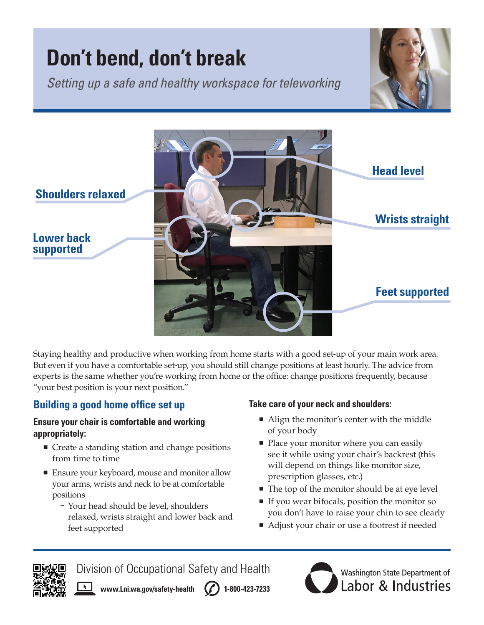# **Don't bend, don't break**

*Setting up a safe and healthy workspace for teleworking*





Staying healthy and productive when working from home starts with a good set-up of your main work area. But even if you have a comfortable set-up, you should still change positions at least hourly. The advice from experts is the same whether you're working from home or the office: change positions frequently, because "your best position is your next position."

## **Building a good home office set up**

#### **Ensure your chair is comfortable and working appropriately:**

- Create a standing station and change positions from time to time
- Ensure your keyboard, mouse and monitor allow your arms, wrists and neck to be at comfortable positions
	- Your head should be level, shoulders relaxed, wrists straight and lower back and feet supported

#### **Take care of your neck and shoulders:**

- Align the monitor's center with the middle of your body
- Place your monitor where you can easily see it while using your chair's backrest (this will depend on things like monitor size, prescription glasses, etc.)
- The top of the monitor should be at eye level
- If you wear bifocals, position the monitor so you don't have to raise your chin to see clearly
- Adjust your chair or use a footrest if needed



Division of Occupational Safety and Health

 $\overline{r}$ **[www.Lni.wa.gov/safety-health](http://www.Lni.wa.gov/safety-health) (1-800-423-7233**